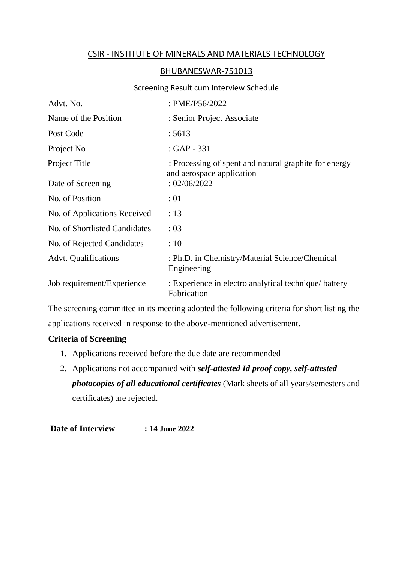## CSIR - INSTITUTE OF MINERALS AND MATERIALS TECHNOLOGY

## BHUBANESWAR-751013

## Screening Result cum Interview Schedule

| Advt. No.                     | : PME/P56/2022                                                                     |
|-------------------------------|------------------------------------------------------------------------------------|
| Name of the Position          | : Senior Project Associate                                                         |
| Post Code                     | : 5613                                                                             |
| Project No                    | : GAP - 331                                                                        |
| Project Title                 | : Processing of spent and natural graphite for energy<br>and aerospace application |
| Date of Screening             | : 02/06/2022                                                                       |
| No. of Position               | :01                                                                                |
| No. of Applications Received  | : 13                                                                               |
| No. of Shortlisted Candidates | : 03                                                                               |
| No. of Rejected Candidates    | :10                                                                                |
| <b>Advt.</b> Qualifications   | : Ph.D. in Chemistry/Material Science/Chemical<br>Engineering                      |
| Job requirement/Experience    | : Experience in electro analytical technique/battery<br>Fabrication                |

The screening committee in its meeting adopted the following criteria for short listing the applications received in response to the above-mentioned advertisement.

## **Criteria of Screening**

- 1. Applications received before the due date are recommended
- 2. Applications not accompanied with *self-attested Id proof copy, self-attested photocopies of all educational certificates* (Mark sheets of all years/semesters and certificates) are rejected.

**Date of Interview : 14 June 2022**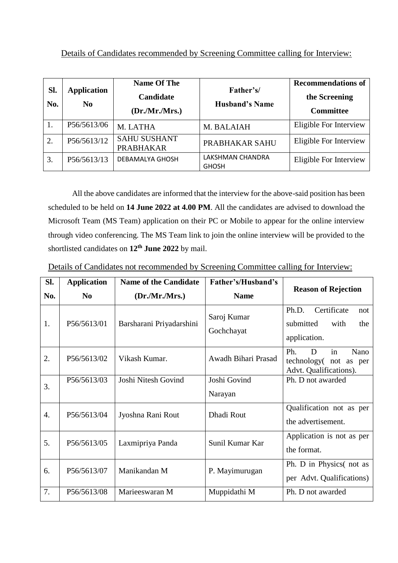| Sl.<br>No. | <b>Application</b><br>$\bf No$ | <b>Name Of The</b><br><b>Candidate</b><br>(Dr.Mr.Mrs.) | Father's/<br><b>Husband's Name</b> | <b>Recommendations of</b><br>the Screening<br><b>Committee</b> |
|------------|--------------------------------|--------------------------------------------------------|------------------------------------|----------------------------------------------------------------|
|            | P56/5613/06                    | M. LATHA                                               | M. BALAIAH                         | Eligible For Interview                                         |
| 2.         | P56/5613/12                    | <b>SAHU SUSHANT</b><br><b>PRABHAKAR</b>                | PRABHAKAR SAHU                     | Eligible For Interview                                         |
| 3.         | P56/5613/13                    | DEBAMALYA GHOSH                                        | LAKSHMAN CHANDRA<br><b>GHOSH</b>   | Eligible For Interview                                         |

All the above candidates are informed that the interview for the above-said position has been scheduled to be held on **14 June 2022 at 4.00 PM**. All the candidates are advised to download the Microsoft Team (MS Team) application on their PC or Mobile to appear for the online interview through video conferencing. The MS Team link to join the online interview will be provided to the shortlisted candidates on **12th June 2022** by mail.

| Details of Candidates not recommended by Screening Committee calling for Interview: |  |  |
|-------------------------------------------------------------------------------------|--|--|
|                                                                                     |  |  |

| SI.              | <b>Application</b> | <b>Name of the Candidate</b> | Father's/Husband's        | <b>Reason of Rejection</b>                                                 |  |  |
|------------------|--------------------|------------------------------|---------------------------|----------------------------------------------------------------------------|--|--|
| No.              | N <sub>0</sub>     | (Dr/Mr/Mrs.)                 | <b>Name</b>               |                                                                            |  |  |
| 1.               | P56/5613/01        | Barsharani Priyadarshini     | Saroj Kumar<br>Gochchayat | Certificate<br>Ph.D.<br>not<br>submitted<br>with<br>the<br>application.    |  |  |
| 2.               | P56/5613/02        | Vikash Kumar.                | Awadh Bihari Prasad       | Ph.<br>Nano<br>D<br>in<br>technology (not as per<br>Advt. Qualifications). |  |  |
| 3.               | P56/5613/03        | Joshi Nitesh Govind          | Joshi Govind<br>Narayan   | Ph. D not awarded                                                          |  |  |
| $\overline{4}$ . | P56/5613/04        | Jyoshna Rani Rout            | Dhadi Rout                | Qualification not as per<br>the advertisement.                             |  |  |
| 5.               | P56/5613/05        | Laxmipriya Panda             | Sunil Kumar Kar           | Application is not as per<br>the format.                                   |  |  |
| 6.               | P56/5613/07        | Manikandan M                 | P. Mayimurugan            | Ph. D in Physics (not as<br>per Advt. Qualifications)                      |  |  |
| 7.               | P56/5613/08        | Marieeswaran M               | Muppidathi M              | Ph. D not awarded                                                          |  |  |